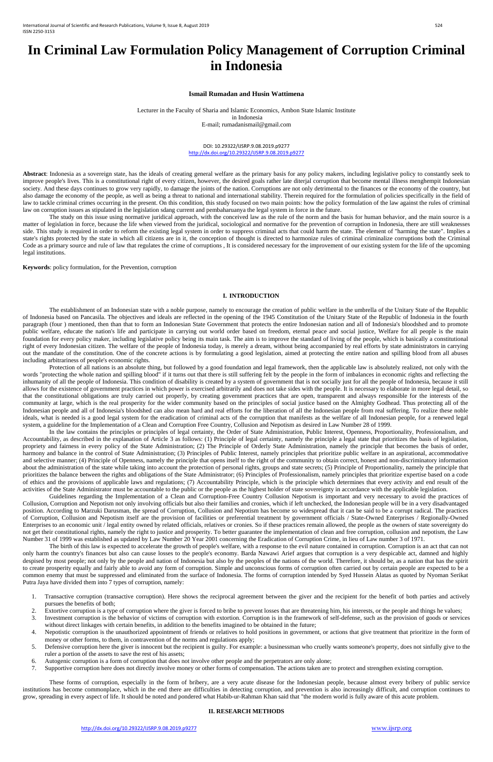# **In Criminal Law Formulation Policy Management of Corruption Criminal in Indonesia**

#### **Ismail Rumadan and Husin Wattimena**

Lecturer in the Faculty of Sharia and Islamic Economics, Ambon State Islamic Institute in Indonesia E-mail; rumadanismail@gmail.com

> DOI: 10.29322/IJSRP.9.08.2019.p9277 <http://dx.doi.org/10.29322/IJSRP.9.08.2019.p9277>

Abstract: Indonesia as a sovereign state, has the ideals of creating general welfare as the primary basis for any policy makers, including legislative policy to constantly seek to improve people's lives. This is a constitutional right of every citizen, however, the desired goals rather late diterjal corruption that become mental illness menghempit Indonesian society. And these days continues to grow very rapidly, to damage the joints of the nation. Corruptions are not only detrimental to the finances or the economy of the country, but also damage the economy of the people, as well as being a threat to national and international stability. Therein required for the formulation of policies specifically in the field of law to tackle criminal crimes occurring in the present. On this condition, this study focused on two main points: how the policy formulation of the law against the rules of criminal law on corruption issues as stipulated in the legislation sdang current and pembaharuanya the legal system in force in the future.

The study on this issue using normative juridical approach, with the conceived law as the rule of the norm and the basis for human behavior, and the main source is a matter of legislation in force, because the life when viewed from the juridical, sociological and normative for the prevention of corruption in Indonesia, there are still weaknesses side. This study is required in order to reform the existing legal system in order to suppress criminal acts that could harm the state. The element of "harming the state". Implies a state's rights protected by the state in which all citizens are in it, the conception of thought is directed to harmonize rules of criminal criminalize corruptions both the Criminal Code as a primary source and rule of law that regulates the crime of corruptions , It is considered necessary for the improvement of our existing system for the life of the upcoming legal institutions.

**Keywords**: policy formulation, for the Prevention, corruption

#### **I. INTRODUCTION**

Protection of all nations is an absolute thing, but followed by a good foundation and legal framework, then the applicable law is absolutely realized, not only with the words "protecting the whole nation and spilling blood" if it turns out that there is still suffering felt by the people in the form of imbalances in economic rights and reflecting the inhumanity of all the people of Indonesia. This condition of disability is created by a system of government that is not socially just for all the people of Indonesia, because it still allows for the existence of government practices in which power is exercised arbitrarily and does not take sides with the people. It is necessary to elaborate in more legal detail, so that the constitutional obligations are truly carried out properly, by creating government practices that are open, transparent and always responsible for the interests of the community at large, which is the real prosperity for the wider community based on the principles of social justice based on the Almighty Godhead. Thus protecting all of the Indonesian people and all of Indonesia's bloodshed can also mean hard and real efforts for the liberation of all the Indonesian people from real suffering. To realize these noble ideals, what is needed is a good legal system for the eradication of criminal acts of the corruption that manifests as the welfare of all Indonesian people, for a renewed legal system, a guideline for the Implementation of a Clean and Corruption Free Country, Collusion and Nepotism as desired in Law Number 28 of 1999.

The establishment of an Indonesian state with a noble purpose, namely to encourage the creation of public welfare in the umbrella of the Unitary State of the Republic of Indonesia based on Pancasila. The objectives and ideals are reflected in the opening of the 1945 Constitution of the Unitary State of the Republic of Indonesia in the fourth paragraph (four ) mentioned, then than that to form an Indonesian State Government that protects the entire Indonesian nation and all of Indonesia's bloodshed and to promote public welfare, educate the nation's life and participate in carrying out world order based on freedom, eternal peace and social justice, Welfare for all people is the main foundation for every policy maker, including legislative policy being its main task. The aim is to improve the standard of living of the people, which is basically a constitutional right of every Indonesian citizen. The welfare of the people of Indonesia today, is merely a dream, without being accompanied by real efforts by state administrators in carrying out the mandate of the constitution. One of the concrete actions is by formulating a good legislation, aimed at protecting the entire nation and spilling blood from all abuses including arbitrariness of people's economic rights.

In the law contains the principles or principles of legal certainty, the Order of State Administration, Public Interest, Openness, Proportionality, Professionalism, and Accountability, as described in the explanation of Article 3 as follows: (1) Principle of legal certainty, namely the principle a legal state that prioritizes the basis of legislation, propriety and fairness in every policy of the State Administration; (2) The Principle of Orderly State Administration, namely the principle that becomes the basis of order, harmony and balance in the control of State Administration; (3) Principles of Public Interest, namely principles that prioritize public welfare in an aspirational, accommodative and selective manner; (4) Principle of Openness, namely the principle that opens itself to the right of the community to obtain correct, honest and non-discriminatory information about the administration of the state while taking into account the protection of personal rights, groups and state secrets; (5) Principle of Proportionality, namely the principle that prioritizes the balance between the rights and obligations of the State Administrator; (6) Principles of Professionalism, namely principles that prioritize expertise based on a code of ethics and the provisions of applicable laws and regulations; (7) Accountability Principle, which is the principle which determines that every activity and end result of the activities of the State Administrator must be accountable to the public or the people as the highest holder of state sovereignty in accordance with the applicable legislation.

Guidelines regarding the Implementation of a Clean and Corruption-Free Country Collusion Nepotism is important and very necessary to avoid the practices of Collusion, Corruption and Nepotism not only involving officials but also their families and cronies, which if left unchecked, the Indonesian people will be in a very disadvantaged position. According to Marzuki Darusman, the spread of Corruption, Collusion and Nepotism has become so widespread that it can be said to be a corrupt radical. The practices of Corruption, Collusion and Nepotism itself are the provision of facilities or preferential treatment by government officials / State-Owned Enterprises / Regionally-Owned Enterprises to an economic unit / legal entity owned by related officials, relatives or cronies. So if these practices remain allowed, the people as the owners of state sovereignty do not get their constitutional rights, namely the right to justice and prosperity. To better guarantee the implementation of clean and free corruption, collusion and nepotism, the Law Number 31 of 1999 was established as updated by Law Number 20 Year 2001 concerning the Eradication of Corruption Crime, in lieu of Law number 3 of 1971.

The birth of this law is expected to accelerate the growth of people's welfare, with a response to the evil nature contained in corruption. Corruption is an act that can not only harm the country's finances but also can cause losses to the people's economy. Barda Nawawi Arief argues that corruption is a very despicable act, damned and highly despised by most people; not only by the people and nation of Indonesia but also by the peoples of the nations of the world. Therefore, it should be, as a nation that has the spirit to create prosperity equally and fairly able to avoid any form of corruption. Simple and unconscious forms of corruption often carried out by certain people are expected to be a common enemy that must be suppressed and eliminated from the surface of Indonesia. The forms of corruption intended by Syed Hussein Alatas as quoted by Nyoman Serikat Putra Jaya have divided them into 7 types of corruption, namely:

- 1. Transactive corruption (transactive corruption). Here shows the reciprocal agreement between the giver and the recipient for the benefit of both parties and actively pursues the benefits of both;
- 2. Extortive corruption is a type of corruption where the giver is forced to bribe to prevent losses that are threatening him, his interests, or the people and things he values;
- 3. Investment corruption is the behavior of victims of corruption with extortion. Corruption is in the framework of self-defense, such as the provision of goods or services without direct linkages with certain benefits, in addition to the benefits imagined to be obtained in the future;
- 4. Nepotistic corruption is the unauthorized appointment of friends or relatives to hold positions in government, or actions that give treatment that prioritize in the form of money or other forms, to them, in contravention of the norms and regulations apply;
- 5. Defensive corruption here the giver is innocent but the recipient is guilty. For example: a businessman who cruelly wants someone's property, does not sinfully give to the ruler a portion of the assets to save the rest of his assets;
- 6. Autogenic corruption is a form of corruption that does not involve other people and the perpetrators are only alone;
- 7. Supportive corruption here does not directly involve money or other forms of compensation. The actions taken are to protect and strengthen existing corruption.

These forms of corruption, especially in the form of bribery, are a very acute disease for the Indonesian people, because almost every bribery of public service institutions has become commonplace, which in the end there are difficulties in detecting corruption, and prevention is also increasingly difficult, and corruption continues to grow, spreading in every aspect of life. It should be noted and pondered what Habib-ur-Rahman Khan said that "the modern world is fully aware of this acute problem.

# **II. RESEARCH METHODS**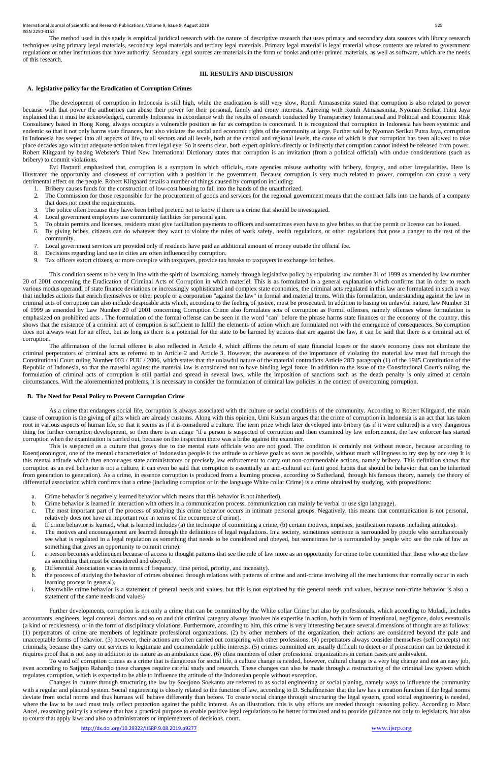The method used in this study is empirical juridical research with the nature of descriptive research that uses primary and secondary data sources with library research techniques using primary legal materials, secondary legal materials and tertiary legal materials. Primary legal material is legal material whose contents are related to government regulations or other institutions that have authority. Secondary legal sources are materials in the form of books and other printed materials, as well as software, which are the needs of this research.

### **III. RESULTS AND DISCUSSION**

#### **A. legislative policy for the Eradication of Corruption Crimes**

The development of corruption in Indonesia is still high, while the eradication is still very slow, Romli Atmasasmita stated that corruption is also related to power because with that power the authorities can abuse their power for their personal, family and crony interests. Agreeing with Romli Atmasasmita, Nyoman Serikat Putra Jaya explained that it must be acknowledged, currently Indonesia in accordance with the results of research conducted by Transparency International and Political and Economic Risk Consultancy based in Hong Kong, always occupies a vulnerable position as far as corruption is concerned. It is recognized that corruption in Indonesia has been systemic and endemic so that it not only harms state finances, but also violates the social and economic rights of the community at large. Further said by Nyoman Serikat Putra Jaya, corruption in Indonesia has seeped into all aspects of life, to all sectors and all levels, both at the central and regional levels, the cause of which is that corruption has been allowed to take place decades ago without adequate action taken from legal eye. So it seems clear, both expert opinions directly or indirectly that corruption cannot indeed be released from power. Robert Klitgaard by basing Webster's Third New International Dictionary states that corruption is an invitation (from a political official) with undue considerations (such as bribery) to commit violations.

Evi Hartanti emphasized that, corruption is a symptom in which officials, state agencies misuse authority with bribery, forgery, and other irregularities. Here is illustrated the opportunity and closeness of corruption with a position in the government. Because corruption is very much related to power, corruption can cause a very detrimental effect on the people. Robert Klitgaard details a number of things caused by corruption including:

This condition seems to be very in line with the spirit of lawmaking, namely through legislative policy by stipulating law number 31 of 1999 as amended by law number 20 of 2001 concerning the Eradication of Criminal Acts of Corruption in which materiel. This is as formulated in a general explanation which confirms that in order to reach various modus operandi of state finance deviations or increasingly sophisticated and complex state economies, the criminal acts regulated in this law are formulated in such a way that includes actions that enrich themselves or other people or a corporation "against the law" in formal and material terms. With this formulation, understanding against the law in criminal acts of corruption can also include despicable acts which, according to the feeling of justice, must be prosecuted. In addition to basing on unlawful nature, law Number 31 of 1999 as amended by Law Number 20 of 2001 concerning Corruption Crime also formulates acts of corruption as Formil offenses, namely offenses whose formulation is emphasized on prohibited acts . The formulation of the formal offense can be seen in the word "can" before the phrase harms state finances or the economy of the country, this shows that the existence of a criminal act of corruption is sufficient to fulfill the elements of action which are formulated not with the emergence of consequences. So corruption does not always wait for an effect, but as long as there is a potential for the state to be harmed by actions that are against the law, it can be said that there is a criminal act of corruption.

- 1. Bribery causes funds for the construction of low-cost housing to fall into the hands of the unauthorized.
- 2. The Commission for those responsible for the procurement of goods and services for the regional government means that the contract falls into the hands of a company that does not meet the requirements.
- 3. The police often because they have been bribed pretend not to know if there is a crime that should be investigated.
- 4. Local government employees use community facilities for personal gain.
- 5. To obtain permits and licenses, residents must give facilitation payments to officers and sometimes even have to give bribes so that the permit or license can be issued.
- 6. By giving bribes, citizens can do whatever they want to violate the rules of work safety, health regulations, or other regulations that pose a danger to the rest of the community.
- 7. Local government services are provided only if residents have paid an additional amount of money outside the official fee.
- 8. Decisions regarding land use in cities are often influenced by corruption.
- 9. Tax officers extort citizens, or more conspire with taxpayers, provide tax breaks to taxpayers in exchange for bribes.

This is suspected as a culture that grows due to the mental state officials who are not good. The condition is certainly not without reason, because according to Koentjoroningrat, one of the mental characteristics of Indonesian people is the attitude to achieve goals as soon as possible, without much willingness to try step by one step It is this mental attitude which then encourages state administrators or precisely law enforcement to carry out non-commendable actions, namely bribery. This definition shows that corruption as an evil behavior is not a culture, it can even be said that corruption is essentially an anti-cultural act (anti good habits that should be behavior that can be inherited from generation to generation). As a crime, in essence corruption is produced from a learning process, according to Sutherland, through his famous theory, namely the theory of differential association which confirms that a crime (including corruption or in the language White collar Crime) is a crime obtained by studying, with propositions:

The affirmation of the formal offense is also reflected in Article 4, which affirms the return of state financial losses or the state's economy does not eliminate the criminal perpetrators of criminal acts as referred to in Article 2 and Article 3. However, the awareness of the importance of violating the material law must fail through the Constitutional Court ruling Number 003 / PUU / 2006, which states that the unlawful nature of the material contradicts Article 28D paragraph (1) of the 1945 Constitution of the Republic of Indonesia, so that the material against the material law is considered not to have binding legal force. In addition to the issue of the Constitutional Court's ruling, the formulation of criminal acts of corruption is still partial and spread in several laws, while the imposition of sanctions such as the death penalty is only aimed at certain circumstances. With the aforementioned problems, it is necessary to consider the formulation of criminal law policies in the context of overcoming corruption.

#### **B. The Need for Penal Policy to Prevent Corruption Crime**

As a crime that endangers social life, corruption is always associated with the culture or social conditions of the community. According to Robert Klitgaard, the main cause of corruption is the giving of gifts which are already customs. Along with this opinion, Umi Kulsum argues that the crime of corruption in Indonesia is an act that has taken root in various aspects of human life, so that it seems as if it is considered a culture. The term prize which later developed into bribery (as if it were cultured) is a very dangerous thing for further corruption development, so then there is an adage "if a person is suspected of corruption and then examined by law enforcement, the law enforcer has started corruption when the examination is carried out, because on the inspection there was a bribe against the examiner.

- a. Crime behavior is negatively learned behavior which means that this behavior is not inherited).
- b. Crime behavior is learned in interaction with others in a communication process. communication can mainly be verbal or use sign language).
- c. The most important part of the process of studying this crime behavior occurs in intimate personal groups. Negatively, this means that communication is not personal, relatively does not have an important role in terms of the occurrence of crime).
- d. If crime behavior is learned, what is learned includes (a) the technique of committing a crime, (b) certain motives, impulses, justification reasons including attitudes).
- e. The motives and encouragement are learned through the definitions of legal regulations. In a society, sometimes someone is surrounded by people who simultaneously see what is regulated in a legal regulation as something that needs to be considered and obeyed, but sometimes he is surrounded by people who see the rule of law as something that gives an opportunity to commit crime).
- f. a person becomes a delinquent because of access to thought patterns that see the rule of law more as an opportunity for crime to be committed than those who see the law
- as something that must be considered and obeyed).
- g. Differential Association varies in terms of frequency, time period, priority, and incensity).
- h. the process of studying the behavior of crimes obtained through relations with patterns of crime and anti-crime involving all the mechanisms that normally occur in each learning process in general).
- i. Meanwhile crime behavior is a statement of general needs and values, but this is not explained by the general needs and values, because non-crime behavior is also a statement of the same needs and values)

Further developments, corruption is not only a crime that can be committed by the White collar Crime but also by professionals, which according to Muladi, includes accountants, engineers, legal counsel, doctors and so on and this criminal category always involves his expertise in action, both in form of intentional, negligence, dolus eventualis (a kind of recklesness), or in the form of disciplinary violations. Furthermore, according to him, this crime is very interesting because several dimensions of thought are as follows: (1) perpetrators of crime are members of legitimate professional organizations. (2) by other members of the organization, their actions are considered beyond the pale and unacceptable forms of behavior. (3) however, their actions are often carried out conspiring with other professions. (4) perpetrators always consider themselves (self concepts) not criminals, because they carry out services to legitimate and commendable public interests. (5) crimes committed are usually difficult to detect or if prosecution can be detected it requires proof that is not easy in addition to its nature as an ambulance case. (6) often members of other professional organizations in certain cases are ambivalent.

To ward off corruption crimes as a crime that is dangerous for social life, a culture change is needed, however, cultural change is a very big change and not an easy job, even according to Satjipto Rahardjo these changes require careful study and research. These changes can also be made through a restructuring of the criminal law system which regulates corruption, which is expected to be able to influence the attitude of the Indonesian people without exception.

Changes in culture through structuring the law by Soerjono Soekanto are referred to as social engineering or social planing, namely ways to influence the community with a regular and planned system. Social engineering is closely related to the function of law, according to D. Schaffmeister that the law has a creation function if the legal norms deviate from social norms and thus humans will behave differently than before. To create social change through structuring the legal system, good social engineering is needed, where the law to be used must truly reflect protection against the public interest. As an illustration, this is why efforts are needed through reasoning policy. According to Marc Ancel, reasoning policy is a science that has a practical purpose to enable positive legal regulations to be better formulated and to provide guidance not only to legislators, but also to courts that apply laws and also to administrators or implementers of decisions. court.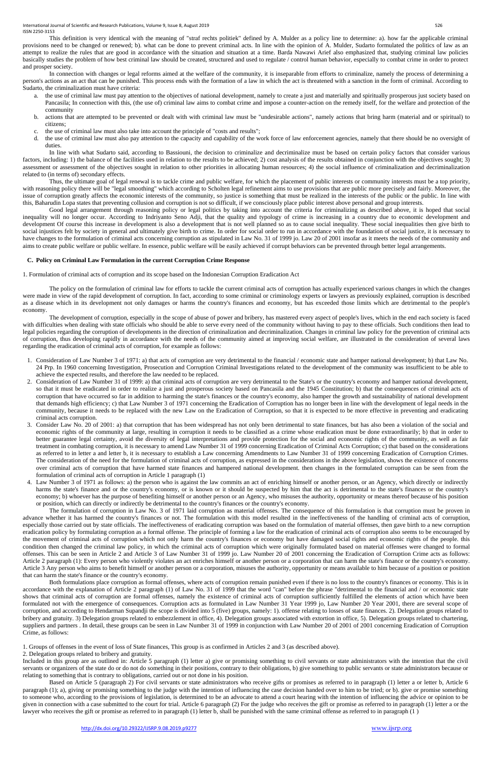This definition is very identical with the meaning of "straf rechts politiek" defined by A. Mulder as a policy line to determine: a). how far the applicable criminal provisions need to be changed or renewed; b). what can be done to prevent criminal acts. In line with the opinion of A. Mulder, Sudarto formulated the politics of law as an attempt to realize the rules that are good in accordance with the situation and situation at a time. Barda Nawawi Arief also emphasized that, studying criminal law policies basically studies the problem of how best criminal law should be created, structured and used to regulate / control human behavior, especially to combat crime in order to protect and prosper society.

- the use of criminal law must pay attention to the objectives of national development, namely to create a just and materially and spiritually prosperous just society based on Pancasila; In connection with this, (the use of) criminal law aims to combat crime and impose a counter-action on the remedy itself, for the welfare and protection of the community
- b. actions that are attempted to be prevented or dealt with with criminal law must be "undesirable actions", namely actions that bring harm (material and or spiritual) to citizens;
- c. the use of criminal law must also take into account the principle of "costs and results";
- d. the use of criminal law must also pay attention to the capacity and capability of the work force of law enforcement agencies, namely that there should be no oversight of duties.

In connection with changes or legal reforms aimed at the welfare of the community, it is inseparable from efforts to criminalize, namely the process of determining a person's actions as an act that can be punished. This process ends with the formation of a law in which the act is threatened with a sanction in the form of criminal. According to Sudarto, the criminalization must have criteria:

Good legal arrangement through reasoning policy or legal politics by taking into account the criteria for criminalizing as described above, it is hoped that social inequality will no longer occur. According to Indriyanto Seno Adji, that the quality and typology of crime is increasing in a country due to economic development and development Of course this increase in development is also a development that is not well planned so as to cause social inequality. These social inequalities then give birth to social injustices felt by society in general and ultimately give birth to crime. In order for social order to run in accordance with the foundation of social justice, it is necessary to have changes to the formulation of criminal acts concerning corruption as stipulated in Law No. 31 of 1999 jo. Law 20 of 2001 insofar as it meets the needs of the community and aims to create public welfare or public welfare. In essence, public welfare will be easily achieved if corrupt behaviors can be prevented through better legal arrangements.

In line with what Sudarto said, according to Bassiouni, the decision to criminalize and decriminalize must be based on certain policy factors that consider various factors, including: 1) the balance of the facilities used in relation to the results to be achieved; 2) cost analysis of the results obtained in conjunction with the objectives sought; 3) assessment or assessment of the objectives sought in relation to other priorities in allocating human resources; 4) the social influence of criminalization and decriminalization related to (in terms of) secondary effects.

Thus, the ultimate goal of legal renewal is to tackle crime and public welfare, for which the placement of public interests or community interests must be a top priority, with reasoning policy there will be "legal smoothing" which according to Scholten legal refinement aims to use provisions that are public more precisely and fairly. Moreover, the issue of corruption greatly affects the economic interests of the community, so justice is something that must be realized in the interests of the public or the public. In line with this, Baharudin Lopa states that preventing collusion and corruption is not so difficult, if we consciously place public interest above personal and group interests.

# **C. Policy on Criminal Law Formulation in the current Corruption Crime Response**

1. Formulation of criminal acts of corruption and its scope based on the Indonesian Corruption Eradication Act

The policy on the formulation of criminal law for efforts to tackle the current criminal acts of corruption has actually experienced various changes in which the changes were made in view of the rapid development of corruption. In fact, according to some criminal or criminology experts or lawyers as previously explained, corruption is described as a disease which in its development not only damages or harms the country's finances and economy, but has exceeded those limits which are detrimental to the people's economy.

The development of corruption, especially in the scope of abuse of power and bribery, has mastered every aspect of people's lives, which in the end each society is faced with difficulties when dealing with state officials who should be able to serve every need of the community without having to pay to these officials. Such conditions then lead to legal policies regarding the corruption of developments in the direction of criminalization and decriminalization. Changes in criminal law policy for the prevention of criminal acts of corruption, thus developing rapidly in accordance with the needs of the community aimed at improving social welfare, are illustrated in the consideration of several laws regarding the eradication of criminal acts of corruption, for example as follows:

- 1. Consideration of Law Number 3 of 1971: a) that acts of corruption are very detrimental to the financial / economic state and hamper national development; b) that Law No. 24 Prp. In 1960 concerning Investigation, Prosecution and Corruption Criminal Investigations related to the development of the community was insufficient to be able to achieve the expected results, and therefore the law needed to be replaced.
- 2. Consideration of Law Number 31 of 1999: a) that criminal acts of corruption are very detrimental to the State's or the country's economy and hamper national development, so that it must be eradicated in order to realize a just and prosperous society based on Pancasila and the 1945 Constitution; b) that the consequences of criminal acts of corruption that have occurred so far in addition to harming the state's finances or the country's economy, also hamper the growth and sustainability of national development that demands high efficiency; c) that Law Number 3 of 1971 concerning the Eradication of Corruption has no longer been in line with the development of legal needs in the community, because it needs to be replaced with the new Law on the Eradication of Corruption, so that it is expected to be more effective in preventing and eradicating criminal acts corruption.
- 3. Consider Law No. 20 of 2001: a) that corruption that has been widespread has not only been detrimental to state finances, but has also been a violation of the social and economic rights of the community at large, resulting in corruption it needs to be classified as a crime whose eradication must be done extraordinarily; b) that in order to better guarantee legal certainty, avoid the diversity of legal interpretations and provide protection for the social and economic rights of the community, as well as fair treatment in combating corruption, it is necessary to amend Law Number 31 of 1999 concerning Eradication of Criminal Acts Corruption; c) that based on the considerations as referred to in letter a and letter b, it is necessary to establish a Law concerning Amendments to Law Number 31 of 1999 concerning Eradication of Corruption Crimes. The consideration of the need for the formulation of criminal acts of corruption, as expressed in the considerations in the above legislation, shows the existence of concerns over criminal acts of corruption that have harmed state finances and hampered national development. then changes in the formulated corruption can be seen from the formulation of criminal acts of corruption in Article 1 paragraph (1)
- 4. Law Number 3 of 1971 as follows: a) the person who is against the law commits an act of enriching himself or another person, or an Agency, which directly or indirectly harms the state's finance and or the country's economy, or is known or it should be suspected by him that the act is detrimental to the state's finances or the country's economy; b) whoever has the purpose of benefiting himself or another person or an Agency, who misuses the authority, opportunity or means thereof because of his position or position, which can directly or indirectly be detrimental to the country's finances or the country's economy.

The formulation of corruption in Law No. 3 of 1971 laid corruption as material offenses. The consequence of this formulation is that corruption must be proven in advance whether it has harmed the country's finances or not. The formulation with this model resulted in the ineffectiveness of the handling of criminal acts of corruption, especially those carried out by state officials. The ineffectiveness of eradicating corruption was based on the formulation of material offenses, then gave birth to a new corruption eradication policy by formulating corruption as a formal offense. The principle of forming a law for the eradication of criminal acts of corruption also seems to be encouraged by the movement of criminal acts of corruption which not only harm the country's finances or economy but have damaged social rights and economic rights of the people. this condition then changed the criminal law policy, in which the criminal acts of corruption which were originally formulated based on material offenses were changed to formal offenses. This can be seen in Article 2 and Article 3 of Law Number 31 of 1999 jo. Law Number 20 of 2001 concerning the Eradication of Corruption Crime acts as follows: Article 2 paragraph (1): Every person who violently violates an act enriches himself or another person or a corporation that can harm the state's finance or the country's economy. Article 3 Any person who aims to benefit himself or another person or a corporation, misuses the authority, opportunity or means available to him because of a position or position that can harm the state's finance or the country's economy. Both formulations place corruption as formal offenses, where acts of corruption remain punished even if there is no loss to the country's finances or economy. This is in accordance with the explanation of Article 2 paragraph (1) of Law No. 31 of 1999 that the word "can" before the phrase "detrimental to the financial and / or economic state shows that criminal acts of corruption are formal offenses, namely the existence of criminal acts of corruption sufficiently fulfilled the elements of action which have been formulated not with the emergence of consequences. Corruption acts as formulated in Law Number 31 Year 1999 jo, Law Number 20 Year 2001, there are several scope of corruption, and according to Hendarman Supandji the scope is divided into 5 (five) groups, namely: 1). offense relating to losses of state finances. 2). Delegation groups related to bribery and gratuity. 3) Delegation groups related to embezzlement in office, 4). Delegation groups associated with extortion in office, 5). Delegation groups related to chartering, suppliers and partners. In detail, these groups can be seen in Law Number 31 of 1999 in conjunction with Law Number 20 of 2001 of 2001 concerning Eradication of Corruption Crime, as follows:

1. Groups of offenses in the event of loss of State finances, This group is as confirmed in Articles 2 and 3 (as described above).

2. Delegation groups related to bribery and gratuity.

Included in this group are as outlined in: Article 5 paragraph (1) letter a) give or promising something to civil servants or state administrators with the intention that the civil servants or organizers of the state do or do not do something in their positions, contrary to their obligations, b) give something to public servants or state administrators because or relating to something that is contrary to obligations, carried out or not done in his position.

Based on Article 5 (paragraph 2) For civil servants or state administrators who receive gifts or promises as referred to in paragraph (1) letter a or letter b, Article 6 paragraph (1); a), giving or promising something to the judge with the intention of influencing the case decision handed over to him to be tried; or b). give or promise something to someone who, according to the provisions of legislation, is determined to be an advocate to attend a court hearing with the intention of influencing the advice or opinion to be given in connection with a case submitted to the court for trial. Article 6 paragraph (2) For the judge who receives the gift or promise as referred to in paragraph (1) letter a or the lawyer who receives the gift or promise as referred to in paragraph (1) letter b, shall be punished with the same criminal offense as referred to in paragraph (1)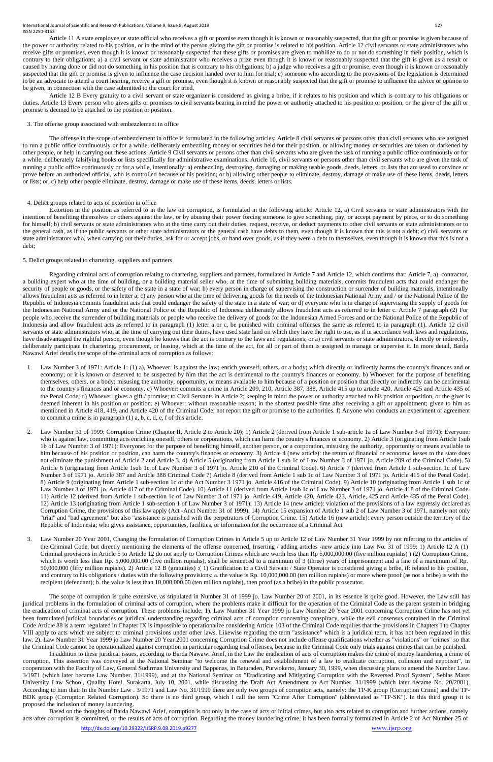Article 11 A state employee or state official who receives a gift or promise even though it is known or reasonably suspected, that the gift or promise is given because of the power or authority related to his position, or in the mind of the person giving the gift or promise is related to his position. Article 12 civil servants or state administrators who receive gifts or promises, even though it is known or reasonably suspected that these gifts or promises are given to mobilize to do or not do something in their position, which is contrary to their obligations; a) a civil servant or state administrator who receives a prize even though it is known or reasonably suspected that the gift is given as a result or caused by having done or did not do something in his position that is contrary to his obligations; b) a judge who receives a gift or promise, even though it is known or reasonably suspected that the gift or promise is given to influence the case decision handed over to him for trial; c) someone who according to the provisions of the legislation is determined to be an advocate to attend a court hearing, receive a gift or promise, even though it is known or reasonably suspected that the gift or promise to influence the advice or opinion to be given, in connection with the case submitted to the court for tried.

Article 12 B Every gratuity to a civil servant or state organizer is considered as giving a bribe, if it relates to his position and which is contrary to his obligations or duties. Article 13 Every person who gives gifts or promises to civil servants bearing in mind the power or authority attached to his position or position, or the giver of the gift or promise is deemed to be attached to the position or position.

#### 3. The offense group associated with embezzlement in office

The offense in the scope of embezzlement in office is formulated in the following articles: Article 8 civil servants or persons other than civil servants who are assigned to run a public office continuously or for a while, deliberately embezzling money or securities held for their position, or allowing money or securities are taken or darkened by other people, or help in carrying out these actions. Article 9 Civil servants or persons other than civil servants who are given the task of running a public office continuously or for a while, deliberately falsifying books or lists specifically for administrative examinations. Article 10, civil servants or persons other than civil servants who are given the task of running a public office continuously or for a while, intentionally: a) embezzling, destroying, damaging or making usable goods, deeds, letters, or lists that are used to convince or prove before an authorized official, who is controlled because of his position; or b) allowing other people to eliminate, destroy, damage or make use of these items, deeds, letters or lists; or, c) help other people eliminate, destroy, damage or make use of these items, deeds, letters or lists.

# 4. Delict groups related to acts of extortion in office

Extortion in the position as referred to in the law on corruption, is formulated in the following article: Article 12, a) Civil servants or state administrators with the intention of benefiting themselves or others against the law, or by abusing their power forcing someone to give something, pay, or accept payment by piece, or to do something for himself; b) civil servants or state administrators who at the time carry out their duties, request, receive, or deduct payments to other civil servants or state administrators or to the general cash, as if the public servants or other state administrators or the general cash have debts to them, even though it is known that this is not a debt; c) civil servants or state administrators who, when carrying out their duties, ask for or accept jobs, or hand over goods, as if they were a debt to themselves, even though it is known that this is not a debt;

#### 5. Delict groups related to chartering, suppliers and partners

Regarding criminal acts of corruption relating to chartering, suppliers and partners, formulated in Article 7 and Article 12, which confirms that: Article 7, a). contractor, a building expert who at the time of building, or a building material seller who, at the time of submitting building materials, commits fraudulent acts that could endanger the security of people or goods, or the safety of the state in a state of war; b) every person in charge of supervising the construction or surrender of building materials, intentionally allows fraudulent acts as referred to in letter a; c) any person who at the time of delivering goods for the needs of the Indonesian National Army and / or the National Police of the Republic of Indonesia commits fraudulent acts that could endanger the safety of the state in a state of war; or d) everyone who is in charge of supervising the supply of goods for the Indonesian National Army and or the National Police of the Republic of Indonesia deliberately allows fraudulent acts as referred to in letter c. Article 7 paragraph (2) For people who receive the surrender of building materials or people who receive the delivery of goods for the Indonesian Armed Forces and or the National Police of the Republic of Indonesia and allow fraudulent acts as referred to in paragraph (1) letter a or c, be punished with criminal offenses the same as referred to in paragraph (1). Article 12 civil servants or state administrators who, at the time of carrying out their duties, have used state land on which they have the right to use, as if in accordance with laws and regulations, have disadvantaged the rightful person, even though he knows that the act is contrary to the laws and regulations; or a) civil servants or state administrators, directly or indirectly, deliberately participate in chartering, procurement, or leasing, which at the time of the act, for all or part of them is assigned to manage or supervise it. In more detail, Barda Nawawi Arief details the scope of the criminal acts of corruption as follows:

which is worth less than Rp. 5,000,000.00 (five million rupiahs), shall be sentenced to a maximum of 3 (three) years of imprisonment and a fine of a maximum of Rp. 50,000,000 (fifty million rupiahs). 2) Article 12 B (gratuities) :( 1) Gratification to a Civil Servant / State Operator is considered giving a bribe, if: related to his position, and contrary to his obligations / duties with the following provisions: a. the value is Rp. 10,000,000.00 (ten million rupiahs) or more where proof (as not a bribe) is with the recipient (defendant); b. the value is less than 10,000,000.00 (ten million rupiahs), then proof (as a bribe) in the public prosecutor.

- 1. Law Number 3 of 1971: Article 1: (1) a), Whoever: is against the law; enrich yourself, others, or a body; which directly or indirectly harms the country's finances and or economy; or it is known or deserved to be suspected by him that the act is detrimental to the country's finances or economy. b) Whoever: for the purpose of benefiting themselves, others, or a body; misusing the authority, opportunity, or means available to him because of a position or position that directly or indirectly can be detrimental to the country's finances and or economy. c) Whoever: commits a crime in Article 209, 210, Article 387, 388, Article 415 up to article 420, Article 425 and Article 435 of the Penal Code; d) Whoever: gives a gift / promise; to Civil Servants in Article 2; keeping in mind the power or authority attached to his position or position, or the giver is deemed inherent in his position or position. e) Whoever: without reasonable reason; in the shortest possible time after receiving a gift or appointment; given to him as mentioned in Article 418, 419, and Article 420 of the Criminal Code; not report the gift or promise to the authorities. f) Anyone who conducts an experiment or agreement to commit a crime is in paragraph (1) a, b, c, d, e, f of this article.
- 2. Law Number 31 of 1999: Corruption Crime (Chapter II, Article 2 to Article 20); 1) Article 2 (derived from Article 1 sub-article 1a of Law Number 3 of 1971): Everyone: who is against law, committing acts enriching oneself, others or corporations, which can harm the country's finances or economy. 2) Article 3 (originating from Article 1sub 1b of Law Number 3 of 1971): Everyone: for the purpose of benefiting himself, another person, or a corporation, misusing the authority, opportunity or means available to him because of his position or position, can harm the country's finances or economy. 3) Article 4 (new article): the return of financial or economic losses to the state does not eliminate the punishment of Article 2 and Article 3. 4) Article 5 (originating from Article 1 sub 1c of Law Number 3 of 1971 jo. Article 209 of the Criminal Code). 5) Article 6 (originating from Article 1sub 1c of Law Number 3 of 1971 jo. Article 210 of the Criminal Code). 6) Article 7 (derived from Article 1 sub-section 1c of Law Number 3 of 1971 jo. Article 387 and Article 388 Criminal Code 7) Article 8 (derived from Article 1 sub 1c of Law Number 3 of 1971 jo. Article 415 of the Penal Code). 8) Article 9 (originating from Article 1 sub-section 1c of the Act Number 3 1971 jo. Article 416 of the Criminal Code). 9) Article 10 (originating from Article 1 sub 1c of Law Number 3 of 1971 jo. Article 417 of the Criminal Code). 10) Article 11 (derived from Article 1sub 1c of Law Number 3 of 1971 jo. Article 418 of the Criminal Code. 11) Article 12 (derived from Article 1 sub-section 1c of Law Number 3 of 1971 jo. Article 419, Article 420, Article 423, Article, 425 and Article 435 of the Penal Code). 12) Article 13 (originating from Article 1 sub-section 1 of Law Number 3 of 1971): 13) Article 14 (new article): violation of the provisions of a law expressly declared as Corruption Crime, the provisions of this law apply (Act -Anct Number 31 of 1999). 14) Article 15 expansion of Article 1 sub 2 of Law Number 3 of 1971, namely not only "trial" and "bad agreement" but also "assistance is punished with the perpetrators of Corruption Crime. 15) Article 16 (new article): every person outside the territory of the Republic of Indonesia; who gives assistance, opportunities, facilities, or information for the occurrence of a Criminal Act
- 3. Law Number 20 Year 2001, Changing the formulation of Corruption Crimes in Article 5 up to Article 12 of Law Number 31 Year 1999 by not referring to the articles of the Criminal Code, but directly mentioning the elements of the offense concerned, Inserting / adding articles -new article into Law No. 31 of 1999: 1) Article 12 A (1) Criminal provisions in Article 5 to Article 12 do not apply to Corruption Crimes which are worth less than Rp 5,000,000.00 (five million rupiahs) ) (2) Corruption Crime,

The scope of corruption is quite extensive, as stipulated in Number 31 of 1999 jo. Law Number 20 of 2001, in its essence is quite good. However, the Law still has juridical problems in the formulation of criminal acts of corruption, where the problems make it difficult for the operation of the Criminal Code as the parent system in bridging the eradication of criminal acts of corruption. These problems include: 1). Law Number 31 Year 1999 jo Law Number 20 Year 2001 concerning Corruption Crime has not yet been formulated juridical boundaries or juridical understanding regarding criminal acts of corruption concerning conspiracy, while the evil consensus contained in the Criminal Code Article 88 is a term regulated in Chapter IX is impossible to operationalize considering Article 103 of the Criminal Code requires that the provisions in Chapters I to Chapter VIII apply to acts which are subject to criminal provisions under other laws. Likewise regarding the term "assistance" which is a juridical term, it has not been regulated in this law. 2). Law Number 31 Year 1999 jo Law Number 20 Year 2001 concerning Corruption Crime does not include offense qualifications whether as "violations" or "crimes" so that the Criminal Code cannot be operationalized against corruption in particular regarding trial offenses, because in the Criminal Code only trials against crimes that can be punished.

In addition to these juridical issues, according to Barda Nawawi Arief, in the Law the eradication of acts of corruption makes the crime of money laundering a crime of corruption. This assertion was conveyed at the National Seminar "to welcome the renewal and establishment of a law to eradicate corruption, collusion and nepotism", in cooperation with the Faculty of Law, General Sudirman University and Bappenas, in Baturaden, Purwokerto, January 30, 1999, when discussing plans to amend the Number Law. 3/1971 (which later became Law Number. 31/1999), and at the National Seminar on "Eradicating and Mitigating Corruption with the Reversed Proof System", Seblas Maret University Law School, Quality Hotel, Surakarta, July 10, 2001, while discussing the Draft Act Amendment to Act Number. 31/1999 (which later became No. 20/2001). According to him that: In the Number Law . 3/1971 and Law No. 31/1999 there are only two groups of corruption acts, namely: the TP-K group (Corruption Crime) and the TP-BDK group (Corruption Related Corruption). So there is no third group, which I call the term "Crime After Corruption" (abbreviated as "TP-SK"). In this third group it is proposed the inclusion of money laundering.

Based on the thoughts of Barda Nawawi Arief, corruption is not only in the case of acts or initial crimes, but also acts related to corruption and further actions, namely acts after corruption is committed, or the results of acts of corruption. Regarding the money laundering crime, it has been formally formulated in Article 2 of Act Number 25 of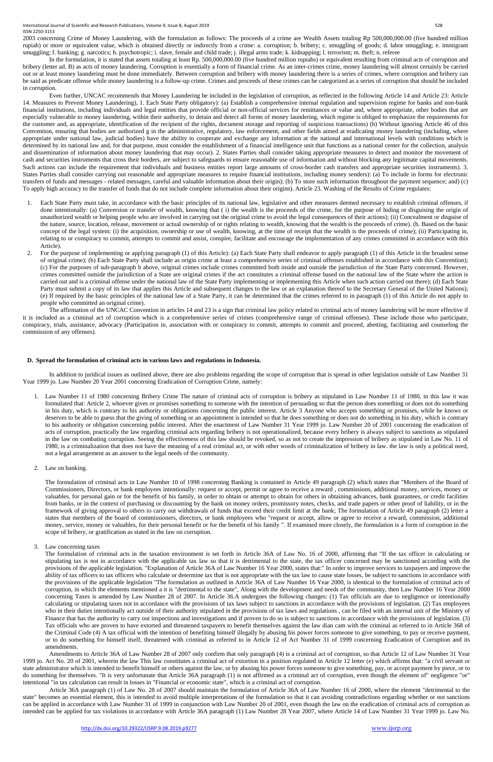International Journal of Scientific and Research Publications, Volume 9, Issue 8, August 2019 528 Service and Scientific and Research Publications, Volume 9, Issue 8, August 2019 ISSN 2250-3153

2003 concerning Crime of Money Laundering, with the formulation as follows: The proceeds of a crime are Wealth Assets totaling Rp 500,000,000.00 (five hundred million rupiah) or more or equivalent value, which is obtained directly or indirectly from a crime: a. corruption; b. bribery; c. smuggling of goods; d. labor smuggling; e. immigrant smuggling; f. banking; g. narcotics; h. psychotropic; i. slave, female and child trade; j. illegal arms trade; k. kidnapping; l. terrorism; m. theft; n. referee

In the formulation, it is stated that assets totaling at least Rp. 500,000,000.00 (five hundred million rupiahs) or equivalent resulting from criminal acts of corruption and bribery (letter ad. B) as acts of money laundering. Corruption is essentially a form of financial crime. As an inter-crimes crime, money laundering will almost certainly be carried out or at least money laundering must be done immediately. Between corruption and bribery with money laundering there is a series of crimes, where corruption and bribery can be said as predicate offense while money laundering is a follow-up crime. Crimes and proceeds of these crimes can be categorized as a series of corruption that should be included in corruption.

Even further, UNCAC recommends that Money Laundering be included in the legislation of corruption, as reflected in the following Article 14 and Article 23: Article 14. Measures to Prevent Money Laundering), 1. Each State Party obligatory): (a) Establish a comprehensive internal regulation and supervision regime for banks and non-bank financial institutions, including individuals and legal entities that provide official or non-official services for remittances or value and, where appropriate, other bodies that are especially vulnerable to money laundering, within their authority, to detain and detect all forms of money laundering, which regime is obliged to emphasize the requirements for the customer and, as appropriate, identification of the recipient of the rights, document storage and reporting of suspicious transactions) (b) Without ignoring Article 46 of this Convention, ensuring that bodies are authorized g in the administrative, regulatory, law enforcement, and other fields aimed at eradicating money laundering (including, where appropriate under national law, judicial bodies) have the ability to cooperate and exchange any information at the national and international levels with conditions which is determined by its national law and, for that purpose, must consider the establishment of a financial intelligence unit that functions as a national center for the collection, analysis and dissemination of information about money laundering that may occur). 2. States Parties shall consider taking appropriate measures to detect and monitor the movement of cash and securities instruments that cross their borders, are subject to safeguards to ensure reasonable use of information and without blocking any legitimate capital movements. Such actions can include the requirement that individuals and business entities report large amounts of cross-border cash transfers and appropriate securities instruments). 3. States Parties shall consider carrying out reasonable and appropriate measures to require financial institutions, including money senders): (a) To include in forms for electronic transfers of funds and messages - related messages, careful and valuable information about their origin); (b) To store such information throughout the payment sequence; and) (c) To apply high accuracy to the transfer of funds that do not include complete information about their origins). Article 23. Washing of the Results of Crime regulates:

- 1. Each State Party must take, in accordance with the basic principles of its national law, legislative and other measures deemed necessary to establish criminal offenses, if done intentionally: (a) Conversion or transfer of wealth, knowing that (i) the wealth is the proceeds of the crime, for the purpose of hiding or disguising the origin of unauthorized wealth or helping people who are involved in carrying out the original crime to avoid the legal consequences of their actions); (ii) Concealment or disguise of the nature, source, location, release, movement or actual ownership of or rights relating to wealth, knowing that the wealth is the proceeds of crime). (b. Based on the basic concept of the legal system: (i) the acquisition, ownership or use of wealth, knowing, at the time of receipt that the wealth is the proceeds of crime); (ii) Participating in, relating to or conspiracy to commit, attempts to commit and assist, conspire, facilitate and encourage the implementation of any crimes committed in accordance with this Article).
- 2. For the purpose of implementing or applying paragraph (1) of this Article): (a) Each State Party shall endeavor to apply paragraph (1) of this Article in the broadest sense of original crime); (b) Each State Party shall include as origin crime at least a comprehensive series of criminal offenses established in accordance with this Convention); (c) For the purposes of sub-paragraph b above, original crimes include crimes committed both inside and outside the jurisdiction of the State Party concerned. However, crimes committed outside the jurisdiction of a State are original crimes if the act constitutes a criminal offense based on the national law of the State where the action is carried out and is a criminal offense under the national law of the State Party implementing or implementing this Article when such action carried out there); (d) Each State Party must submit a copy of its law that applies this Article and subsequent changes to the law or an explanation thereof to the Secretary General of the United Nations); (e) If required by the basic principles of the national law of a State Party, it can be determined that the crimes referred to in paragraph (1) of this Article do not apply to people who committed an original crime).

The affirmation of the UNCAC Convention in articles 14 and 23 is a sign that criminal law policy related to criminal acts of money laundering will be more effective if it is included as a criminal act of corruption which is a comprehensive series of crimes (comprehensive range of criminal offenses). These include those who participate, conspiracy, trials, assistance, advocacy (Participation in, association with or conspiracy to commit, attempts to commit and proceed, abetting, facilitating and counseling the commission of any offenses).

#### **D. Spread the formulation of criminal acts in various laws and regulations in Indonesia.**

In addition to juridical issues as outlined above, there are also problems regarding the scope of corruption that is spread in other legislation outside of Law Number 31 Year 1999 jo. Law Number 20 Year 2001 concerning Eradication of Corruption Crime, namely:

- 1. Law Number 11 of 1980 concerning Bribery Crime The nature of criminal acts of corruption is bribery as stipulated in Law Number 11 of 1980, in this law it was formulated that: Article 2, whoever gives or promises something to someone with the intention of persuading so that the person does something or does not do something in his duty, which is contrary to his authority or obligations concerning the public interest. Article 3 Anyone who accepts something or promises, while he knows or deserves to be able to guess that the giving of something or an appointment is intended so that he does something or does not do something in his duty, which is contrary to his authority or obligation concerning public interest. After the enactment of Law Number 31 Year 1999 jo. Law Number 20 of 2001 concerning the eradication of acts of corruption, practically the law regarding criminal acts regarding bribery is not operationalized, because every bribery is always subject to sanctions as stipulated in the law on combating corruption. Seeing the effectiveness of this law should be revoked, so as not to create the impression of bribery as stipulated in Law No. 11 of 1980, is a criminalization that does not have the meaning of a real criminal act, or with other words of criminalization of bribery in law. the law is only a political need, not a legal arrangement as an answer to the legal needs of the community.
- 2. Law on banking.

The formulation of criminal acts in Law Number 10 of 1998 concerning Banking is contained in Article 49 paragraph (2) which states that "Members of the Board of Commissioners, Directors, or bank employees intentionally: request or accept, permit or agree to receive a reward , commissions, additional money, services, money or valuables, for personal gain or for the benefit of his family, in order to obtain or attempt to obtain for others in obtaining advances, bank guarantees, or credit facilities from banks, or in the context of purchasing or discounting by the bank on money orders, promissory notes, checks, and trade papers or other proof of liability, or in the framework of giving approval to others to carry out withdrawals of funds that exceed their credit limit at the bank; The formulation of Article 49 paragraph (2) letter a states that members of the board of commissioners, directors, or bank employees who "request or accept, allow or agree to receive a reward, commission, additional money, service, money or valuables, for their personal benefit or for the benefit of his family ". If examined more closely, the formulation is a form of corruption in the scope of bribery, or gratification as stated in the law on corruption.

3. Law concerning taxes

The formulation of criminal acts in the taxation environment is set forth in Article 36A of Law No. 16 of 2000, affirming that "If the tax officer in calculating or stipulating tax is not in accordance with the applicable tax law so that it is detrimental to the state, the tax officer concerned may be sanctioned according with the provisions of the applicable legislation. "Explanation of Article 36A of Law Number 16 Year 2000, states that:" In order to improve services to taxpayers and improve the ability of tax officers to tax officers who calculate or determine tax that is not appropriate with the tax law to cause state losses, be subject to sanctions in accordance with the provisions of the applicable legislation "The formulation as outlined in Article 36A of Law Number 16 Year 2000, is identical to the formulation of criminal acts of corruption, in which the elements mentioned a it is "detrimental to the state", Along with the development and needs of the community, then Law Number 16 Year 2000 concerning Taxes is amended by Law Number 28 of 2007. In Article 36.A undergoes the following changes: (1) Tax officials are due to negligence or intentionally calculating or stipulating taxes not in accordance with the provisions of tax laws subject to sanctions in accordance with the provisions of legislation. (2) Tax employees who in their duties intentionally act outside of their authority stipulated in the provisions of tax laws and regulations, can be filed with an internal unit of the Ministry of Finance that has the authority to carry out inspections and investigations and if proven to do so is subject to sanctions in accordance with the provisions of legislation. (3) Tax officials who are proven to have extorted and threatened taxpayers to benefit themselves against the law dian cam with the criminal as referred to in Article 368 of the Criminal Code (4) A tax official with the intention of benefiting himself illegally by abusing his power forces someone to give something, to pay or receive payment, or to do something for himself itself, threatened with criminal as referred to in Article 12 of Act Number 31 of 1999 concerning Eradication of Corruption and its amendments.

Amendments to Article 36A of Law Number 28 of 2007 only confirm that only paragraph (4) is a criminal act of corruption, so that Article 12 of Law Number 31 Year 1999 jo. Act No. 20 of 2001, wherein the law This law constitutes a criminal act of extortion in a position regulated in Article 12 letter (e) which affirms that: "a civil servant or state administrator which is intended to benefit himself or others against the law, or by abusing his power forces someone to give something, pay, or accept payment by piece, or to do something for themselves. "It is very unfortunate that Article 36A paragraph (1) is not affirmed as a criminal act of corruption, even though the element of" negligence "or" intentional "in tax calculation can result in losses in "Financial or economic state", which is a criminal act of corruption.

Article 36A paragraph (1) of Law No. 28 of 2007 should maintain the formulation of Article 36A of Law Number 16 of 2000, where the element "detrimental to the state" becomes an essential element, this is intended to avoid multiple interpretations of the formulation so that it can avoiding contradictions regarding whether or not sanctions can be applied in accordance with Law Number 31 of 1999 in conjunction with Law Number 20 of 2001, even though the law on the eradication of criminal acts of corruption as intended can be applied for tax violations in accordance with Article 36A paragraph (1) Law Number 28 Year 2007, where Article 14 of Law Number 31 Year 1999 jo. Law No.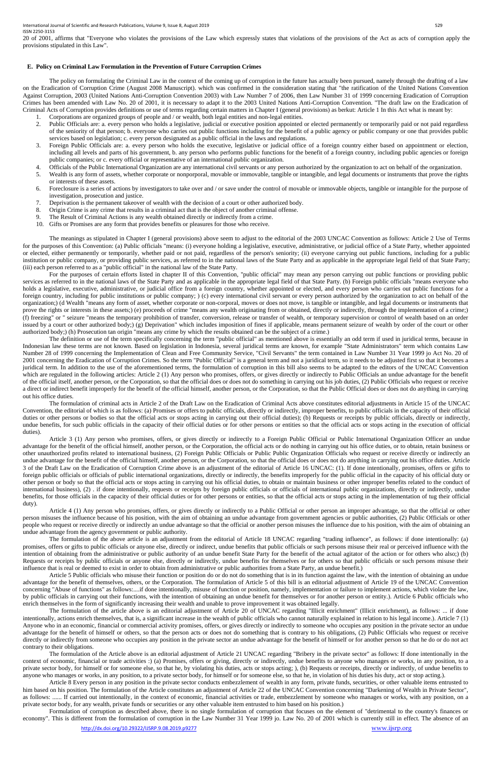20 of 2001, affirms that "Everyone who violates the provisions of the Law which expressly states that violations of the provisions of the Act as acts of corruption apply the provisions stipulated in this Law".

#### **E. Policy on Criminal Law Formulation in the Prevention of Future Corruption Crimes**

The policy on formulating the Criminal Law in the context of the coming up of corruption in the future has actually been pursued, namely through the drafting of a law on the Eradication of Corruption Crime (August 2008 Manuscript). which was confirmed in the consideration stating that "the ratification of the United Nations Convention Against Corruption, 2003 (United Nations Anti-Corruption Convention 2003) with Law Number 7 of 2006, then Law Number 31 of 1999 concerning Eradication of Corruption Crimes has been amended with Law No. 20 of 2001, it is necessary to adapt it to the 2003 United Nations Anti-Corruption Convention. "The draft law on the Eradication of Criminal Acts of Corruption provides definitions or use of terms regarding certain matters in Chapter I (general provisions) as berkut: Article 1 In this Act what is meant by:

- 1. Corporations are organized groups of people and / or wealth, both legal entities and non-legal entities.
- 2. Public Officials are: a. every person who holds a legislative, judicial or executive position appointed or elected permanently or temporarily paid or not paid regardless of the seniority of that person; b. everyone who carries out public functions including for the benefit of a public agency or public company or one that provides public services based on legislation; c. every person designated as a public official in the laws and regulations.
- 3. Foreign Public Officials are: a. every person who holds the executive, legislative or judicial office of a foreign country either based on appointment or election, including all levels and parts of his government, b. any person who performs public functions for the benefit of a foreign country, including public agencies or foreign public companies; or c. every official or representative of an international public organization.
- 4. Officials of the Public International Organization are any international civil servants or any person authorized by the organization to act on behalf of the organization.
- 5. Wealth is any form of assets, whether corporate or nonporporal, movable or immovable, tangible or intangible, and legal documents or instruments that prove the rights or interests of these assets.
- 6. Foreclosure is a series of actions by investigators to take over and / or save under the control of movable or immovable objects, tangible or intangible for the purpose of investigation, prosecution and justice.
- 7. Deprivation is the permanent takeover of wealth with the decision of a court or other authorized body.
- 8. Origin Crime is any crime that results in a criminal act that is the object of another criminal offense.
- 9. The Result of Criminal Actions is any wealth obtained directly or indirectly from a crime.
- 10. Gifts or Promises are any form that provides benefits or pleasures for those who receive.

For the purposes of certain efforts listed in chapter II of this Convention, "public official" may mean any person carrying out public functions or providing public services as referred to in the national laws of the State Party and as applicable in the appropriate legal field of that State Party. (b) Foreign public officials "means everyone who holds a legislative, executive, administrative, or judicial office from a foreign country, whether appointed or elected, and every person who carries out public functions for a foreign country, including for public institutions or public company; ) (c) every international civil servant or every person authorized by the organization to act on behalf of the organization;) (d Wealth "means any form of asset, whether corporate or non-corporal, moves or does not move, is tangible or intangible, and legal documents or instruments that prove the rights or interests in these assets;) (e) proceeds of crime "means any wealth originating from or obtained, directly or indirectly, through the implementation of a crime;) (f) freezing" or " seizure "means the temporary prohibition of transfer, conversion, release or transfer of wealth, or temporary supervision or control of wealth based on an order issued by a court or other authorized body;) (g) Deprivation" which includes imposition of fines if applicable, means permanent seizure of wealth by order of the court or other authorized body;) (h) Prosecution tan origin "means any crime by which the results obtained can be the subject of a crime.)

The meanings as stipulated in Chapter I (general provisions) above seem to adjust to the editorial of the 2003 UNCAC Convention as follows: Article 2 Use of Terms for the purposes of this Convention: (a) Public officials "means: (i) everyone holding a legislative, executive, administrative, or judicial office of a State Party, whether appointed or elected, either permanently or temporarily, whether paid or not paid, regardless of the person's seniority; (ii) everyone carrying out public functions, including for a public institution or public company, or providing public services, as referred to in the national laws of the State Party and as applicable in the appropriate legal field of that State Party; (iii) each person referred to as a "public official" in the national law of the State Party.

The definition or use of the term specifically concerning the term "public official" as mentioned above is essentially an odd term if used in juridical terms, because in Indonesian law these terms are not known. Based on legislation in Indonesia, several juridical terms are known, for example "State Administrators" term which contains Law Number 28 of 1999 concerning the Implementation of Clean and Free Community Service, "Civil Servants" the term contained in Law Number 31 Year 1999 jo Act No. 20 of 2001 concerning the Eradication of Corruption Crimes. So the term "Public Official" is a general term and not a juridical term, so it needs to be adjusted first so that it becomes a juridical term. In addition to the use of the aforementioned terms, the formulation of corruption in this bill also seems to be adapted to the editors of the UNCAC Convention which are regulated in the following articles: Article 2 (1) Any person who promises, offers, or gives directly or indirectly to Public Officials an undue advantage for the benefit of the official itself, another person, or the Corporation, so that the official does or does not do something in carrying out his job duties, (2) Public Officials who request or receive a direct or indirect benefit improperly for the benefit of the official himself, another person, or the Corporation, so that the Public Official does or does not do anything in carrying out his office duties.

The formulation of criminal acts in Article 2 of the Draft Law on the Eradication of Criminal Acts above constitutes editorial adjustments in Article 15 of the UNCAC Convention, the editorial of which is as follows: (a) Promises or offers to public officials, directly or indirectly, improper benefits, to public officials in the capacity of their official duties or other persons or bodies so that the official acts or stops acting in carrying out their official duties); (b) Requests or receipts by public officials, directly or indirectly, undue benefits, for such public officials in the capacity of their official duties or for other persons or entities so that the official acts or stops acting in the execution of official duties).

Article 3 (1) Any person who promises, offers, or gives directly or indirectly to a Foreign Public Official or Public International Organization Officer an undue advantage for the benefit of the official himself, another person, or the Corporation, the official acts or do nothing in carrying out his office duties, or to obtain, retain business or other unauthorized profits related to international business, (2) Foreign Public Officials or Public Public Organization Officials who request or receive directly or indirectly an undue advantage for the benefit of the official himself, another person, or the Corporation, so that the official does or does not do anything in carrying out his office duties. Article 3 of the Draft Law on the Eradication of Corruption Crime above is an adjustment of the editorial of Article 16 UNCAC: (1). If done intentionally, promises, offers or gifts to foreign public officials or officials of public international organizations, directly or indirectly, the benefits improperly for the public official in the capacity of his official duty or other person or body so that the official acts or stops acting in carrying out his official duties, to obtain or maintain business or other improper benefits related to the conduct of international business), (2) . if done intentionally, requests or receipts by foreign public officials or officials of international public organizations, directly or indirectly, undue benefits, for those officials in the capacity of their official duties or for other persons or entities, so that the official acts or stops acting in the implementation of tug their official duty).

Article 4 (1) Any person who promises, offers, or gives directly or indirectly to a Public Official or other person an improper advantage, so that the official or other person misuses the influence because of his position, with the aim of obtaining an undue advantage from government agencies or public authorities, (2) Public Officials or other people who request or receive directly or indirectly an undue advantage so that the official or another person misuses the influence due to his position, with the aim of obtaining an undue advantage from the agency government or public authority.

The formulation of the above article is an adjustment from the editorial of Article 18 UNCAC regarding "trading influence", as follows: if done intentionally: (a) promises, offers or gifts to public officials or anyone else, directly or indirect, undue benefits that public officials or such persons misuse their real or perceived influence with the intention of obtaining from the administrative or public authority of an undue benefit State Party for the benefit of the actual agitator of the action or for others who also;) (b) Requests or receipts by public officials or anyone else, directly or indirectly, undue benefits for themselves or for others so that public officials or such persons misuse their influence that is real or deemed to exist in order to obtain from administrative or public authorities from a State Party, an undue benefit.) Article 5 Public officials who misuse their function or position do or do not do something that is in its function against the law, with the intention of obtaining an undue advantage for the benefit of themselves, others, or the Corporation. The formulation of Article 5 of this bill is an editorial adjustment of Article 19 of the UNCAC Convention concerning "Abuse of functions" as follows:....if done intentionally, misuse of function or position, namely, implementation or failure to implement actions, which violate the law, by public officials in carrying out their functions, with the intention of obtaining an undue benefit for themselves or for another person or entity.). Article 6 Public officials who enrich themselves in the form of significantly increasing their wealth and unable to prove improvement it was obtained legally. The formulation of the article above is an editorial adjustment of Article 20 of UNCAC regarding "Illicit enrichment" (Illicit enrichment), as follows: ... if done intentionally, actions enrich themselves, that is, a significant increase in the wealth of public officials who cannot naturally explained in relation to his legal income.). Article 7 (1) Anyone who in an economic, financial or commercial activity promises, offers, or gives directly or indirectly to someone who occupies any position in the private sector an undue advantage for the benefit of himself or others, so that the person acts or does not do something that is contrary to his obligations, (2) Public Officials who request or receive directly or indirectly from someone who occupies any position in the private sector an undue advantage for the benefit of himself or for another person so that he do or do not act contrary to their obligations. The formulation of the Article above is an editorial adjustment of Article 21 UNCAC regarding "Bribery in the private sector" as follows: If done intentionally in the context of economic, financial or trade activities :) (a) Promises, offers or giving, directly or indirectly, undue benefits to anyone who manages or works, in any position, to a private sector body, for himself or for someone else, so that he, by violating his duties, acts or stops acting; ), (b) Requests or receipts, directly or indirectly, of undue benefits to anyone who manages or works, in any position, to a private sector body, for himself or for someone else, so that he, in violation of his duties his duty, act or stop acting.).

Article 8 Every person in any position in the private sector conducts embezzlement of wealth in any form, private funds, securities, or other valuable items entrusted to him based on his position. The formulation of the Article constitutes an adjustment of Article 22 of the UNCAC Convention concerning "Darkening of Wealth in Private Sector", as follows: ...... If carried out intentionally, in the context of economic, financial activities or trade, embezzlement by someone who manages or works, with any position, on a private sector body, for any wealth, private funds or securities or any other valuable item entrusted to him based on his position.)

Formulation of corruption as described above, there is no single formulation of corruption that focuses on the element of "detrimental to the country's finances or economy". This is different from the formulation of corruption in the Law Number 31 Year 1999 jo. Law No. 20 of 2001 which is currently still in effect. The absence of an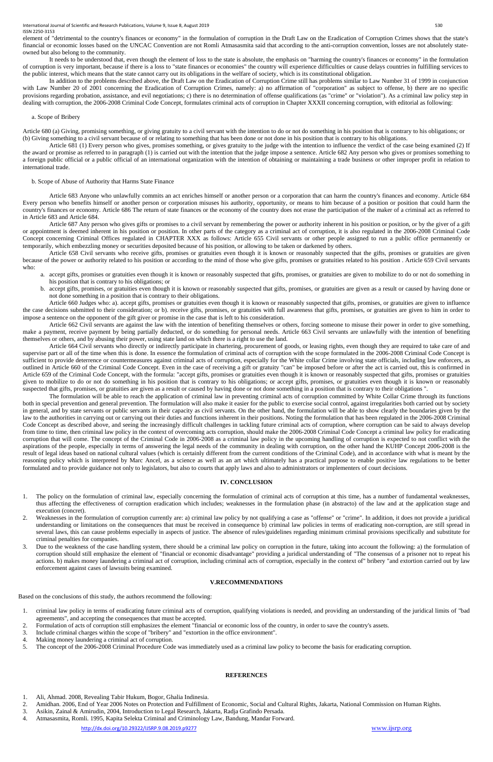element of "detrimental to the country's finances or economy" in the formulation of corruption in the Draft Law on the Eradication of Corruption Crimes shows that the state's financial or economic losses based on the UNCAC Convention are not Romli Atmasasmita said that according to the anti-corruption convention, losses are not absolutely stateowned but also belong to the community.

In addition to the problems described above, the Draft Law on the Eradication of Corruption Crime still has problems similar to Law Number 31 of 1999 in conjunction with Law Number 20 of 2001 concerning the Eradication of Corruption Crimes, namely: a) no affirmation of "corporation" as subject to offense, b) there are no specific provisions regarding probation, assistance, and evil negotiations; c) there is no determination of offense qualifications (as "crime" or "violation"). As a criminal law policy step in dealing with corruption, the 2006-2008 Criminal Code Concept, formulates criminal acts of corruption in Chapter XXXII concerning corruption, with editorial as following:

It needs to be understood that, even though the element of loss to the state is absolute, the emphasis on "harming the country's finances or economy" in the formulation of corruption is very important, because if there is a loss to "state finances or economies" the country will experience difficulties or cause delays countries in fulfilling services to the public interest, which means that the state cannot carry out its obligations in the welfare of society, which is its constitutional obligation.

# a. Scope of Bribery

Article 680 (a) Giving, promising something, or giving gratuity to a civil servant with the intention to do or not do something in his position that is contrary to his obligations; or (b) Giving something to a civil servant because of or relating to something that has been done or not done in his position that is contrary to his obligations.

Article 681 (1) Every person who gives, promises something, or gives gratuity to the judge with the intention to influence the verdict of the case being examined (2) If the award or promise as referred to in paragraph (1) is carried out with the intention that the judge impose a sentence. Article 682 Any person who gives or promises something to a foreign public official or a public official of an international organization with the intention of obtaining or maintaining a trade business or other improper profit in relation to international trade.

#### b. Scope of Abuse of Authority that Harms State Finance

Article 683 Anyone who unlawfully commits an act enriches himself or another person or a corporation that can harm the country's finances and economy. Article 684 Every person who benefits himself or another person or corporation misuses his authority, opportunity, or means to him because of a position or position that could harm the country's finances or economy. Article 686 The return of state finances or the economy of the country does not erase the participation of the maker of a criminal act as referred to in Article 683 and Article 684.

Article 687 Any person who gives gifts or promises to a civil servant by remembering the power or authority inherent in his position or position, or by the giver of a gift or appointment is deemed inherent in his position or position. In other parts of the category as a criminal act of corruption, it is also regulated in the 2006-2008 Criminal Code Concept concerning Criminal Offices regulated in CHAPTER XXX as follows: Article 655 Civil servants or other people assigned to run a public office permanently or temporarily, which embezzling money or securities deposited because of his position, or allowing to be taken or darkened by others.

Article 658 Civil servants who receive gifts, promises or gratuities even though it is known or reasonably suspected that the gifts, promises or gratuities are given because of the power or authority related to his position or according to the mind of those who give gifts, promises or gratuities related to his position . Article 659 Civil servants who:

- 1. The policy on the formulation of criminal law, especially concerning the formulation of criminal acts of corruption at this time, has a number of fundamental weaknesses, thus affecting the effectiveness of corruption eradication which includes; weaknesses in the formulation phase (in abstracto) of the law and at the application stage and execution (concret).
- 2. Weaknesses in the formulation of corruption currently are: a) criminal law policy by not qualifying a case as "offense" or "crime". In addition, it does not provide a juridical understanding or limitations on the consequences that must be received in consequence b) criminal law policies in terms of eradicating non-corruption, are still spread in several laws, this can cause problems especially in aspects of justice. The absence of rules/guidelines regarding minimum criminal provisions specifically and substitute for criminal penalties for companies.
- 3. Due to the weakness of the case handling system, there should be a criminal law policy on corruption in the future, taking into account the following: a) the formulation of corruption should still emphasize the element of "financial or economic disadvantage" providing a juridical understanding of "The consensus of a prisoner not to repeat his
- a. accept gifts, promises or gratuities even though it is known or reasonably suspected that gifts, promises, or gratuities are given to mobilize to do or not do something in his position that is contrary to his obligations; or
- b. accept gifts, promises, or gratuities even though it is known or reasonably suspected that gifts, promises, or gratuities are given as a result or caused by having done or not done something in a position that is contrary to their obligations.

Article 660 Judges who: a). accept gifts, promises or gratuities even though it is known or reasonably suspected that gifts, promises, or gratuities are given to influence the case decisions submitted to their consideration; or b). receive gifts, promises, or gratuities with full awareness that gifts, promises, or gratuities are given to him in order to impose a sentence on the opponent of the gift giver or promise in the case that is left to his consideration.

Article 662 Civil servants are against the law with the intention of benefiting themselves or others, forcing someone to misuse their power in order to give something, make a payment, receive payment by being partially deducted, or do something for personal needs. Article 663 Civil servants are unlawfully with the intention of benefiting themselves or others, and by abusing their power, using state land on which there is a right to use the land.

Article 664 Civil servants who directly or indirectly participate in chartering, procurement of goods, or leasing rights, even though they are required to take care of and supervise part or all of the time when this is done. In essence the formulation of criminal acts of corruption with the scope formulated in the 2006-2008 Criminal Code Concept is sufficient to provide deterrence or countermeasures against criminal acts of corruption, especially for the White collar Crime involving state officials, including law enforcers, as outlined in Article 660 of the Criminal Code Concept. Even in the case of receiving a gift or gratuity "can" be imposed before or after the act is carried out, this is confirmed in Article 659 of the Criminal Code Concept, with the formula: "accept gifts, promises or gratuities even though it is known or reasonably suspected that gifts, promises or gratuities given to mobilize to do or not do something in his position that is contrary to his obligations; or accept gifts, promises, or gratuities even though it is known or reasonably suspected that gifts, promises, or gratuities are given as a result or caused by having done or not done something in a position that is contrary to their obligations ".

The formulation will be able to reach the application of criminal law in preventing criminal acts of corruption committed by White Collar Crime through its functions both in special prevention and general prevention. The formulation will also make it easier for the public to exercise social control, against irregularities both carried out by society in general, and by state servants or public servants in their capacity as civil servants. On the other hand, the formulation will be able to show clearly the boundaries given by the law to the authorities in carrying out or carrying out their duties and functions inherent in their positions. Noting the formulation that has been regulated in the 2006-2008 Criminal Code Concept as described above, and seeing the increasingly difficult challenges in tackling future criminal acts of corruption, where corruption can be said to always develop from time to time, then criminal law policy in the context of overcoming acts corruption, should make the 2006-2008 Criminal Code Concept a criminal law policy for eradicating corruption that will come. The concept of the Criminal Code in 2006-2008 as a criminal law policy in the upcoming handling of corruption is expected to not conflict with the aspirations of the people, especially in terms of answering the legal needs of the community in dealing with corruption, on the other hand the KUHP Concept 2006-2008 is the result of legal ideas based on national cultural values (which is certainly different from the current conditions of the Criminal Code), and in accordance with what is meant by the reasoning policy which is interpreted by Marc Ancel, as a science as well as an art which ultimately has a practical purpose to enable positive law regulations to be better formulated and to provide guidance not only to legislators, but also to courts that apply laws and also to administrators or implementers of court decisions.

# **IV. CONCLUSION**

actions. b) makes money laundering a criminal act of corruption, including criminal acts of corruption, especially in the context of" bribery "and extortion carried out by law enforcement against cases of lawsuits being examined.

# **V.RECOMMENDATIONS**

Based on the conclusions of this study, the authors recommend the following:

- 1. criminal law policy in terms of eradicating future criminal acts of corruption, qualifying violations is needed, and providing an understanding of the juridical limits of "bad agreements", and accepting the consequences that must be accepted.
- 2. Formulation of acts of corruption still emphasizes the element "financial or economic loss of the country, in order to save the country's assets.
- 3. Include criminal charges within the scope of "bribery" and "extortion in the office environment".
- 4. Making money laundering a criminal act of corruption.
- 5. The concept of the 2006-2008 Criminal Procedure Code was immediately used as a criminal law policy to become the basis for eradicating corruption.

# **REFERENCES**

- 1. Ali, Ahmad. 2008, Revealing Tabir Hukum, Bogor, Ghalia Indinesia.
- 2. Amidhan. 2006, End of Year 2006 Notes on Protection and Fulfillment of Economic, Social and Cultural Rights, Jakarta, National Commission on Human Rights.
- 3. Asikin, Zainal & Amirudin, 2004, Introduction to Legal Research, Jakarta, Radja Grafindo Persada.
- 4. Atmasasmita, Romli. 1995, Kapita Selekta Criminal and Criminology Law, Bandung, Mandar Forward.